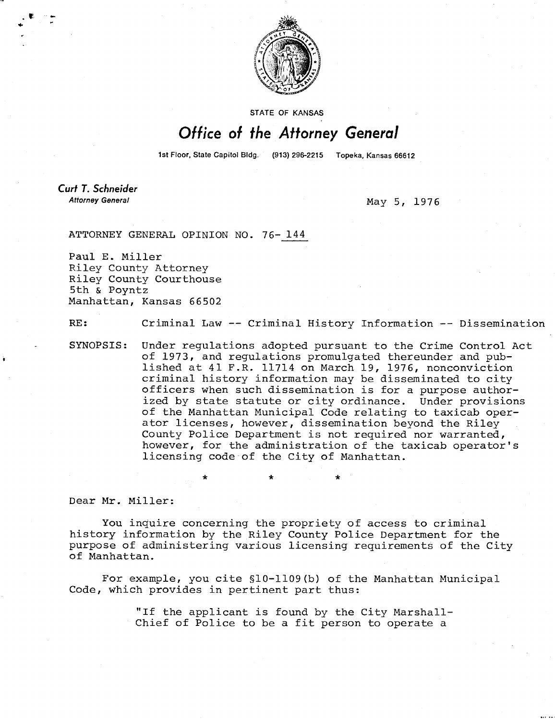

STATE OF KANSAS

## Office of the Attorney General

1st Floor, State Capitol Bldg. (913) 296-2215 Topeka, Kansas 66612

**Curt T. Schneider Attorney General** 

May 5, 1976

ATTORNEY GENERAL OPINION NO. 76- 144

Paul E. Miller Riley County Attorney Riley County Courthouse 5th & Poyntz Manhattan, Kansas 66502

RE: Criminal Law -- Criminal History Information -- Dissemination

SYNOPSIS: Under regulations adopted pursuant to the Crime Control Act of 1973, and regulations promulgated thereunder and published at 41 F.R. 11714 on March 19, 1976, nonconviction criminal history information may be disseminated to city officers when such dissemination is for a purpose authorized by state statute or city ordinance. Under provisions of the Manhattan Municipal Code relating to taxicab operator licenses, however, dissemination beyond the Riley County Police Department is not required nor warranted, however, for the administration of the taxicab operator's licensing code of the City of Manhattan.

Dear Mr. Miller:

You inquire concerning the propriety of access to criminal history information by the Riley County Police Department for the purpose of administering various licensing requirements of the City of Manhattan.

For example, you cite §10-1109(b) of the Manhattan Municipal Code, which provides in pertinent part thus:

> "If the applicant is found by the City Marshall-Chief of Police to be a fit person to operate a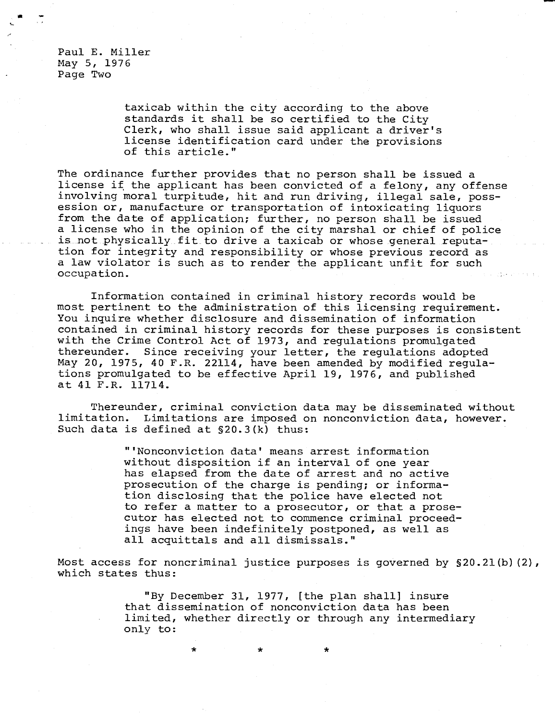Paul E. Miller May 5, 1976 Page Two

> taxicab within the city according to the above standards it shall be so certified to the City Clerk, who shall issue said applicant a driver's license identification card under the provisions of this article."

The ordinance further provides that no person shall be issued a license if the applicant has been convicted of a felony, any offense involving moral turpitude, hit and run driving, illegal sale, possession or, manufacture or transportation of intoxicating liquors from the date of application; further, no person shall be issued a license who in the opinion of the city marshal or chief of police is not physically fit to drive a taxicab or whose general reputation for integrity and responsibility or whose previous record as a law violator is such as to render the applicant unfit for such occupation.

Information contained in criminal history records would be most pertinent to the administration of this licensing requirement. You inquire whether disclosure and dissemination of information contained in criminal history records for these purposes is consistent with the Crime Control Act of 1973, and regulations promulgated thereunder. Since receiving your letter, the regulations adopted May 20, 1975, 40 F.R. 22114, have been amended by modified regulations promulgated to be effective April 19, 1976, and published at 41 F.R. 11714.

Thereunder, criminal conviction data may be disseminated without limitation. Limitations are imposed on nonconviction data, however. Such data is defined at §20.3(k) thus:

> "'Nonconviction data' means arrest information without disposition if an interval of one year has elapsed from the date of arrest and no active prosecution of the charge is pending; or information disclosing that the police have elected not to refer a matter to a prosecutor, or that a prosecutor has elected not to commence criminal proceedings have been indefinitely postponed, as well as all acquittals and all dismissals."

Most access for noncriminal justice purposes is governed by §20.21(b)(2), which states thus:

> "By December 31, 1977, [the plan shall] insure that dissemination of nonconviction data has been limited, whether directly or through any intermediary only to:

> > $\star$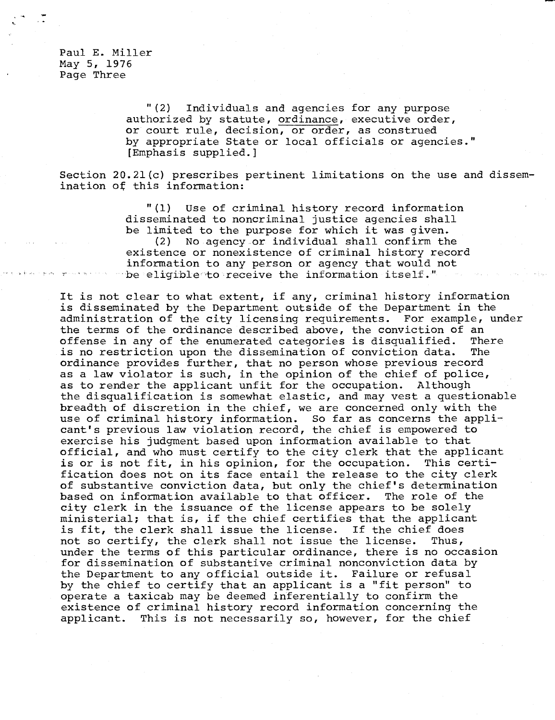Paul E. Miller May 5, 1976 Page Three

> "(2) Individuals and agencies for any purpose authorized by statute, ordinance, executive order, or court rule, decision, or order, as construed by appropriate State or local officials or agencies." [Emphasis supplied.]

Section 20.21(c) prescribes pertinent limitations on the use and dissemination of this information:

> "(1) Use of criminal history record information disseminated to noncriminal justice agencies shall be limited to the purpose for which it was given. (2) No agency .or individual shall confirm the existence or nonexistence of criminal history record information to any person or agency that would not be eligible to receive the information itself."

It is not clear to what extent, if any, criminal history information is disseminated by the Department outside of the Department in the administration of the city licensing requirements. For example, under the terms of the ordinance described above, the conviction of an offense in any of the enumerated categories is disqualified. There is no restriction upon the dissemination of conviction data. The ordinance provides further, that no person whose previous record as a law violator is such, in the opinion of the chief of police, as to render the applicant unfit for the occupation. Although the disqualification is somewhat elastic, and may vest a questionable breadth of discretion in the chief, we are concerned only with the use of criminal history information. So far as concerns the applicant's previous law violation record, the chief is empowered to exercise his judgment based upon information available to that official, and who must certify to the city clerk that the applicant is or is not fit, in his opinion, for the occupation. This certification does not on its face entail the release to the city clerk of substantive conviction data, but only the chief's determination based on information available to that officer. The role of the city clerk in the issuance of the license appears to be solely ministerial; that is, if the chief certifies that the applicant is fit, the clerk shall issue the license. If the chief does not so certify, the clerk shall not issue the license. Thus, under the terms of this particular ordinance, there is no occasion for dissemination of substantive criminal nonconviction data by the Department to any official outside it. Failure or refusal by the chief to certify that an applicant is a "fit person" to operate a taxicab may be deemed inferentially to confirm the existence of criminal history record information concerning the applicant. This is not necessarily so, however, for the chief